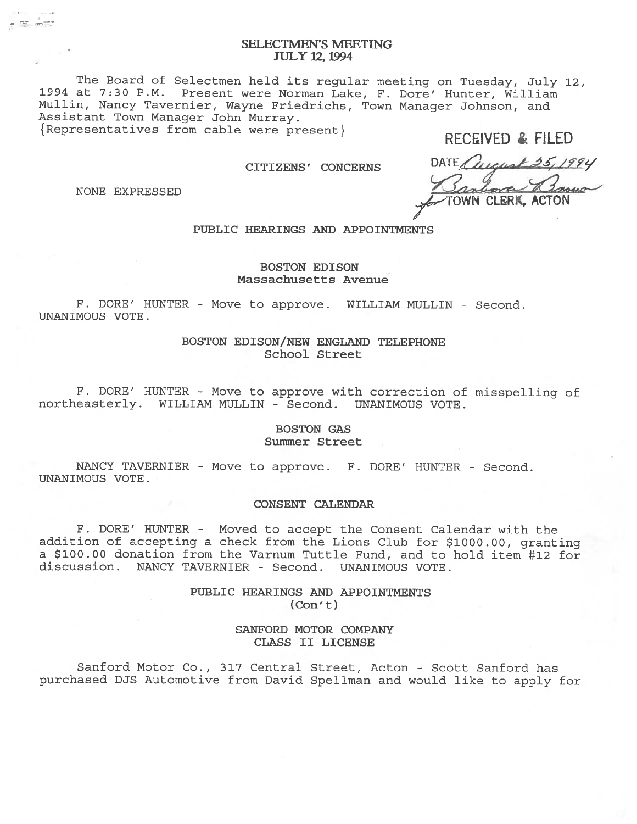# SELECTMEN'S MEETING JULY 12, 1994

The Board of Selectmen held its regular meeting on Tuesday, July 12, 1994 at 7:30 P.M. Present were Norman Lake, F. Dore' Hunter, William Mullin, Nancy Tavernier, Wayne Friedrichs, Town Manager Johnson, and Assistant Town Manager John Murray. {Representatives from cable were present} RECEIVED & FILED

NONE EXPRESSED

CITIZENS' CONCERNS DATE Quality 25, 1994 TOWN CLERK, ACTON

PUBLIC HEARINGS AND APPOINTMENTS

# BOSTON EDISON Massachusetts Avenue

F. DORE' HUNTER - Move to approve. WILLIAM MULLIN - Second. UNANIMOUS VOTE.

# BOSTON EDISON/NEW ENGLAND TELEPHONE School Street

F. DORE' HUNTER - Move to approve with correction of misspelling of northeasterly. WILLIAM MULLIN - Second. UNANIMOUS VOTE.

# BOSTON GAS Summer Street

NANCY TAVERNIER - Move to approve. F. DORE' HUNTER - Second. UNANIMOUS VOTE.

#### CONSENT CALENDAR

F. DORE' HUNTER - Moved to accep<sup>t</sup> the Consent Calendar with the addition of accepting <sup>a</sup> check from the Lions Club for \$1000.00, granting <sup>a</sup> \$100.00 donation from the Varnum Tuttle Fund, and to hold item #12 for discussion. NANCY TAVERNIER - Second. UNANIMOUS VOTE.

> PUBLIC HEARINGS AND APPOINTMENTS  $(Con't)$

> > SANFORD MOTOR COMPANY CLASS II LICENSE

Sanford Motor Co., 317 Central Street, Acton - Scott Sanford has purchased DJS Automotive from David Spellman and would like to apply for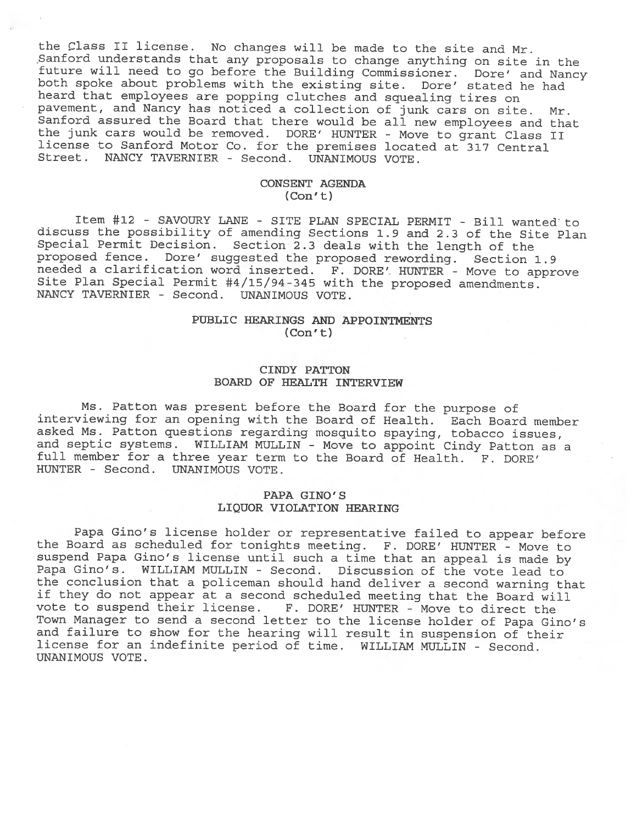the Class II license. No changes will be made to the site and Mr.<br>Sanford understands that any proposals to change anything on site in the Sanford understands that any propose and site in the future will need to go before the Building Commissioner. Dore' and Nancy both spoke about problems with the existing site. Dore' stated he had heard that employees are popping clutches and squealing tires on pavement, and Nancy has noticed <sup>a</sup> collection of junk cars on site. Mr. Sanford assured the Board that there would be all new employees and that the junk cars would be removed. DORE' HUNTER - Move to grant Class II license to Sanford Motor Co. for the premises located at <sup>317</sup> Central Street. NANCY TAVERNIER - Second. UNANIMOUS VOTE.

# CONSENT AGENDA (Con' t)

Item #12 - SAVOURY LANE - SITE PLAN SPECIAL PERMIT - Bill wanted to discuss the possibility of amending Sections 1.9 and 2.3 of the Site Plan Special Permit Decision. Section 2.3 deals with the length of the proposed fence. Dore' suggested the proposed rewording. Section 1.9 needed a clarification word inserted. F. DORE' HUNTER - Move to approve<br>Site Plan Special Permit #4/15/94-345 with the proposed amendments. NANCY TAVERNIER - Second. UNANIMOUS VOTE.

# PUBLIC HEARINGS AND APPOINTMENTS (Con't)

# CINDY PATTON BOARD OF HEALTH INTERVIEW

Ms. Patton was present before the Board for the purpose of interviewing for an opening with the Board of Health. Each Board member asked Ms. Patton questions regarding mosquito spaying, tobacco issues, and septic systems. WILLIAM MULLIN - Move to appoint Cindy Patton as <sup>a</sup> full member for <sup>a</sup> three year term to the Board of Health. F. DORE' HUNTER - Second. UNANIMOUS VOTE.

# PAPA GINO'S LIQUOR VIOLATION HEARING

Papa Gino's license holder or representative failed to appear before the Board as scheduled for tonights meeting. F. DORE' HUNTER - Move to suspend Papa Gino's license until such <sup>a</sup> time that an appeal is made by Papa Gino's. WILLIAM MULLIN - Second. Discussion of the vote lead to the conclusion that <sup>a</sup> policeman should hand deliver <sup>a</sup> second warning that if they do not appear at <sup>a</sup> second scheduled meeting that the Board will vote to suspend their license. F. DORE' HUNTER - Move to direct the Town Manager to send <sup>a</sup> second letter to the license holder of Papa Gino's and failure to show for the hearing will result in suspension of their license for an indefinite period of time. WILLIAM MULLIN - Second. UNANIMOUS VOTE.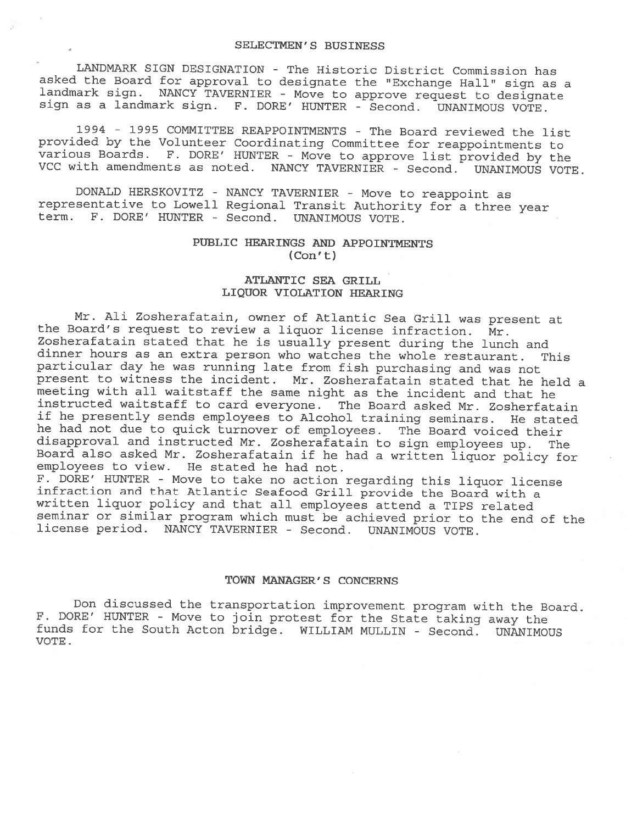LANDMARK SIGN DESIGNATION - The Historic District Commission has<br>asked the Board for approval to designate the "Exchange Hall" sign as a andmark sign. NANCY TAVERNIER - Move to approve request to designate<br>sign as a landmark sign. F. DORE' HUNTER - Second. UNANIMOUS VOTE.

<sup>1994</sup> - <sup>1995</sup> COMMITTEE REAPPOINTMENTS - The Board reviewed the list provided by the Volunteer Coordinating Committee for reappointments to various Boards. F. DORE' HUNTER - Move to approve list provided by the VCC with amendments as noted. NANCY TAVERNIER - Second. UNANIMOUS VOTE.

DONALD HERSKOVITZ - NANCY TAVERNIER - Move to reappoint as representative to Lowell Regional Transit Authority for <sup>a</sup> three year term. F. DORE' HUNTER - Second. UNANIMOUS VOTE.

# PUBLIC HEARINGS AND APPOINTMENTS  $(Con't)$

# ATLANTIC SEA GRILL LIQUOR VIOLATION HEARING

Mr. Ali Zosherafatain, owner of Atlantic Sea Grill was present at the Board's request to review <sup>a</sup> liquor license infraction. Mr. Zosherafatain stated that he is usually present during the lunch and dinner hours as an extra person who watches the whole restaurant. This particular day he was running late from fish purchasing and was not present to witness the incident. Mr. Zosherafatain stated that he held <sup>a</sup> meeting with all waitstaff the same night as the incident and that he instructed waitstaff to card everyone. The Board asked Mr. Zosherfatain if he presently sends employees to Alcohol training seminars. He stated he had not due to quick turnover of employees. The Board voiced their<br>disapproval and instructed Mr. Zosherafatain to sign employees up. The Board also asked Mr. Zosherafatain if he had a written liquor policy for employees to view. He stated he had not.

F. BORE' HUNTER - Move to take no action regarding this liquor license infraction and that Atlantic Seafood Grill provide the Board with <sup>a</sup> written liquor policy and that all employees attend <sup>a</sup> TIPS related seminar or similar program which must be achieved prior to the end of the license period. NANCY TAVERNIER - Second. UNANIMOUS VOTE.

#### TOWN MANAGER' S CONCERNS

Don discussed the transportation improvement program with the Board.<br>F. DORE' HUNTER - Move to join protest for the State taking away the funds for the South Acton bridge. WILLIAM MULLIN - Second. UNANIMOUS VOTE.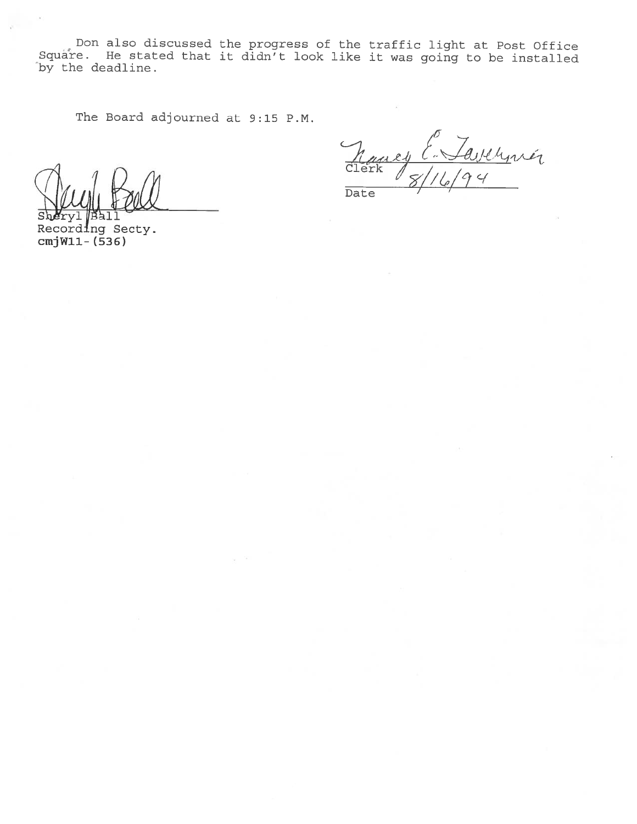Don also discussed the progress of the traffic light at Post Office Square. He stated that it didn't look like it was going to be installed by the deadline.

The Board adjourned at 9:15 P.M.

Recording Secty. cmjWll- (536)

E. Tavernér  $\ell$ 1 Clerk Date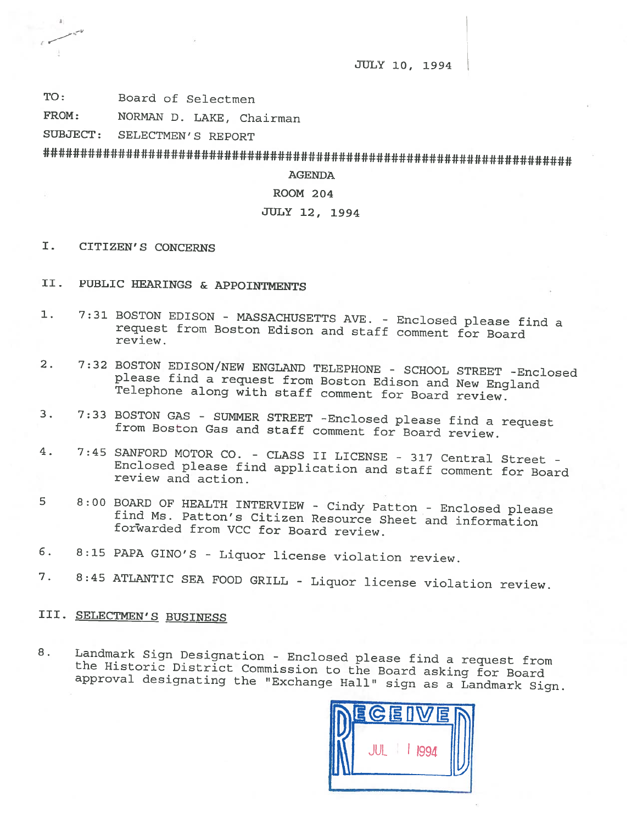JULY 10, 1994

TO: Board of Selectmen

 $\epsilon \sim$ 

FROM: NORMAN D. LAKE, Chairman

SUBJECT: SELECTMEN'S REPORT

AGENDA

ROOM 204

# JULY 12, 1994

- I. CITIZEN'S CONCERNS
- II. PUBLIC HEARINGS & APPOINTMENTS
- 1. 7:31 BOSTON EDISON MASSACHUSETTS AVE. Enclosed please find a request from Boston Edison and staff comment for Board review.
- 2. 7:32 BOSTON EDISON/NEW ENGLAND TELEPHONE SCHOOL STREET -Enclosed <sup>p</sup>lease find <sup>a</sup> request from Boston Edison and New England Telephone along with staff comment for Board review.
- 3. 7:33 BOSTON GAS SUMMER STREET -Enclosed <sup>p</sup>lease find <sup>a</sup> request from Boston Gas and staff comment for Board review.
- 4. 7:45 SANFORD MOTOR CO. CLASS II LICENSE <sup>317</sup> Central Street Enclosed <sup>p</sup>lease find application and staff comment for Board review and action.
- <sup>5</sup> 8:00 BOARD OF HEALTH INTERVIEW Cindy Patton Enclosed <sup>p</sup>lease find Ms. Patton's Citizen Resource Sheet and information foxiarded from VCC for Board review.
- 6. 8:15 PAPA GINO'S Liquor license violation review.
- 7. 8:45 ATLANTIC SEA FOOD GRILL Liquor license violation review.

# III. SELECTMEN'S BUSINESS

8. Landmark Sign Designation - Enclosed please find a request from the Landmark Sign Designation - Enclosed please find a request from<br>the Historic District Commission to the Board asking for Board<br>approval designating the "Exchange Hall" sign as a Landmark Sign.